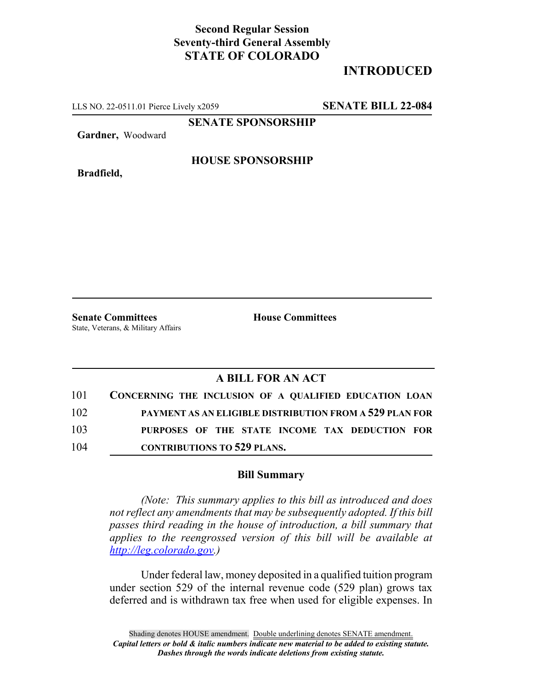## **Second Regular Session Seventy-third General Assembly STATE OF COLORADO**

# **INTRODUCED**

LLS NO. 22-0511.01 Pierce Lively x2059 **SENATE BILL 22-084**

**SENATE SPONSORSHIP**

**Gardner,** Woodward

**Bradfield,**

### **HOUSE SPONSORSHIP**

**Senate Committees House Committees** State, Veterans, & Military Affairs

### **A BILL FOR AN ACT**

| 101 | CONCERNING THE INCLUSION OF A QUALIFIED EDUCATION LOAN         |
|-----|----------------------------------------------------------------|
| 102 | <b>PAYMENT AS AN ELIGIBLE DISTRIBUTION FROM A 529 PLAN FOR</b> |
| 103 | PURPOSES OF THE STATE INCOME TAX DEDUCTION FOR                 |
| 104 | <b>CONTRIBUTIONS TO 529 PLANS.</b>                             |

#### **Bill Summary**

*(Note: This summary applies to this bill as introduced and does not reflect any amendments that may be subsequently adopted. If this bill passes third reading in the house of introduction, a bill summary that applies to the reengrossed version of this bill will be available at http://leg.colorado.gov.)*

Under federal law, money deposited in a qualified tuition program under section 529 of the internal revenue code (529 plan) grows tax deferred and is withdrawn tax free when used for eligible expenses. In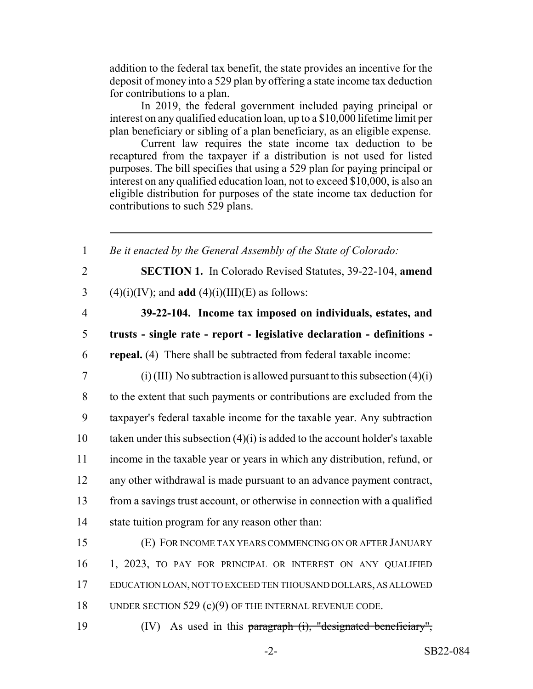addition to the federal tax benefit, the state provides an incentive for the deposit of money into a 529 plan by offering a state income tax deduction for contributions to a plan.

In 2019, the federal government included paying principal or interest on any qualified education loan, up to a \$10,000 lifetime limit per plan beneficiary or sibling of a plan beneficiary, as an eligible expense.

Current law requires the state income tax deduction to be recaptured from the taxpayer if a distribution is not used for listed purposes. The bill specifies that using a 529 plan for paying principal or interest on any qualified education loan, not to exceed \$10,000, is also an eligible distribution for purposes of the state income tax deduction for contributions to such 529 plans.

 *Be it enacted by the General Assembly of the State of Colorado:* **SECTION 1.** In Colorado Revised Statutes, 39-22-104, **amend** 3 (4)(i)(IV); and **add** (4)(i)(III)(E) as follows: **39-22-104. Income tax imposed on individuals, estates, and trusts - single rate - report - legislative declaration - definitions - repeal.** (4) There shall be subtracted from federal taxable income: 7 (i) (III) No subtraction is allowed pursuant to this subsection  $(4)(i)$  to the extent that such payments or contributions are excluded from the taxpayer's federal taxable income for the taxable year. Any subtraction 10 taken under this subsection  $(4)(i)$  is added to the account holder's taxable income in the taxable year or years in which any distribution, refund, or any other withdrawal is made pursuant to an advance payment contract, from a savings trust account, or otherwise in connection with a qualified state tuition program for any reason other than: (E) FOR INCOME TAX YEARS COMMENCING ON OR AFTER JANUARY 1, 2023, TO PAY FOR PRINCIPAL OR INTEREST ON ANY QUALIFIED EDUCATION LOAN, NOT TO EXCEED TEN THOUSAND DOLLARS, AS ALLOWED 18 UNDER SECTION 529 (c)(9) OF THE INTERNAL REVENUE CODE. 19 (IV) As used in this paragraph (i), "designated beneficiary",